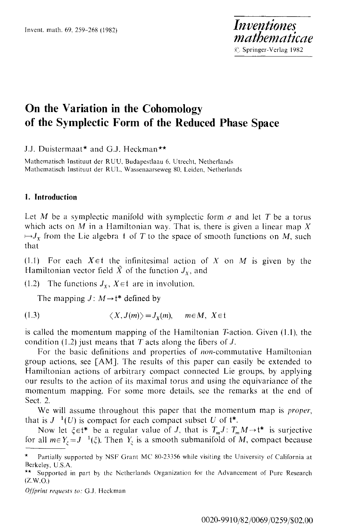# **On the Variation in the Cohomology of the Sympleetic Form of the Reduced Phase Space**

J.J. Duistermaat\* and G.J. Heckman\*\*

Mathematisch lnstituut der RUU, Budapestlaau 6. Utrecht, Netherlands Mathematisch Instituut der RUL, Wassenaarseweg 80, Leiden. Netherlands

# **1. Introduction**

Let M be a symplectic manifold with symplectic form  $\sigma$  and let T be a torus which acts on M in a Hamiltonian way. That is, there is given a linear map X  $\mapsto J_x$  from the Lie algebra t of T to the space of smooth functions on M, such that

(1.1) For each  $X \in \mathfrak{t}$  the infinitesimal action of X on M is given by the Hamiltonian vector field  $\tilde{X}$  of the function  $J_{x}$ , and

(1.2) The functions  $J_x$ ,  $X \in \mathfrak{t}$  are in involution.

The mapping  $J: M \rightarrow t^*$  defined by

$$
(1.3) \t\t \langle X, J(m) \rangle = J_X(m), \t m \in M, X \in \mathfrak{t}
$$

is called the momentum mapping of the Hamiltonian T-action. Given (1.1), the condition (1.2) just means that T acts along the fibers of  $J$ .

For the basic definitions and properties of non-commutative Hamiltonian group actions, see [AM]. The results of this paper can easily be extended to Hamiltonian actions of arbitrary compact connected Lie groups, by applying our results to the action of its maximal torus and using the equivariance of the momentum mapping. For some more details, see the remarks at the end of Sect. 2.

We will assume throughout this paper that the momentum map is *proper,*  that is  $J^{-1}(U)$  is compact for each compact subset U of  $t^*$ .

Now let  $\xi \in \mathfrak{t}^*$  be a regular value of *J*, that is  $T_m J : T_m M \to \mathfrak{t}^*$  is surjective for all  $m \in Y$ <sub> $\epsilon$ </sub> =  $J^{-1}(\xi)$ . Then  $Y_{\xi}$  is a smooth submanifold of M, compact because

*O{/}~rint requests to:* G.J. Heckman

Partially supported by NSF Grant MC 80-23356 while visiting the University of California at Berkeley, U.S.A.

<sup>\*\*</sup> Supported in part by **the** Netherlands Organization for the Advancement of Pure Research  $(Z.W.O.)$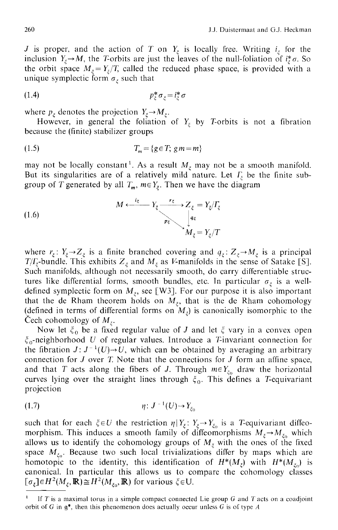J is proper, and the action of T on  $Y_{\varepsilon}$  is locally free. Writing  $i_{\varepsilon}$  for the inclusion  $Y_{\xi} \rightarrow M$ , the T-orbits are just the leaves of the null-foliation of  $i_{\xi}^{*}\sigma$ . So the orbit space  $M_{\zeta} = Y_{\zeta}/T$ , called the reduced phase space, is provided with a unique symplectic form  $\sigma_{\varepsilon}$  such that

$$
(1.4) \t\t\t p_{\xi}^* \sigma_{\xi} = i_{\xi}^* \sigma
$$

where  $p_{\xi}$  denotes the projection  $Y_{\xi} \rightarrow M_{\xi}$ .

However, in general the foliation of  $Y_{\xi}$  by T-orbits is not a fibration because the (finite) stabilizer groups

$$
(1.5) \t\t Tm = {g \in T; g m = m}
$$

may not be locally constant<sup>1</sup>. As a result  $M_{\xi}$  may not be a smooth manifold. But its singularities are of a relatively mild nature. Let  $\Gamma_{\xi}$  be the finite subgroup of T generated by all  $T_m$ ,  $m \in Y_\xi$ . Then we have the diagram

(1.6) 
$$
M \xleftarrow{i_{\xi}} Y_{\xi} \xrightarrow{r_{\xi}} Z_{\xi} = Y_{\xi}/T_{\xi}
$$

$$
M_{\xi} = Y_{\xi}/T
$$

where  $r_{\xi}$ :  $Y_{\xi} \rightarrow Z_{\xi}$  is a finite branched covering and  $q_{\xi}$ :  $Z_{\xi} \rightarrow M_{\xi}$  is a principal  $T/T_{\xi}$ -bundle. This exhibits  $Z_{\xi}$  and  $M_{\xi}$  as V-manifolds in the sense of Satake [S]. Such manifolds, although not necessarily smooth, do carry differentiable structures like differential forms, smooth bundles, etc. In particular  $\sigma_{\xi}$  is a welldefined symplectic form on  $M_{\xi}$ , see [W3]. For our purpose it is also important that the de Rham theorem holds on  $M_{\varepsilon}$ , that is the de Rham cohomology (defined in terms of differential forms on  $M<sub>z</sub>$ ) is canonically isomorphic to the Cech cohomology of  $M_{\zeta}$ .

Now let  $\xi_0$  be a fixed regular value of J and let  $\xi$  vary in a convex open  $\xi_0$ -neighborhood U of regular values. Introduce a T-invariant connection for the fibration  $J: J^{-1}(U) \rightarrow U$ , which can be obtained by averaging an arbitrary connection for  $J$  over  $T$ . Note that the connections for  $J$  form an affine space, and that T acts along the fibers of J. Through  $m \in Y_{\xi_0}$  draw the horizontal curves lying over the straight lines through  $\xi_0$ . This defines a T-equivariant projection

$$
(1.7) \t\t \eta: J^{-1}(U) \to Y_{\xi_C}
$$

such that for each  $\xi \in U$  the restriction  $\eta | Y_{\xi} : Y_{\xi} \to Y_{\xi_0}$  is a T-equivariant diffeomorphism. This induces a smooth family of diffeomorphisms  $M_{\xi} \rightarrow M_{\xi_0}$  which allows us to identify the cohomology groups of  $M_{\xi}$  with the ones of the fixed space  $M_{\xi_0}$ . Because two such local trivializations differ by maps which are homotopic to the identity, this identification of  $H^*(M_{\zeta})$  with  $H^*(M_{\zeta})$  is canonical. In particular this allows us to compare the cohomology classes  $[\sigma_{\xi}] \in H^2(M_{\xi}, \mathbb{R}) \cong H^2(M_{\xi_0}, \mathbb{R})$  for various  $\xi \in U$ .

If T is a maximal torus in a simple compact connected Lie group G and T acts on a coadjoint orbit of G in  $g^*$ , then this phenomenon does actually occur unless G is of type A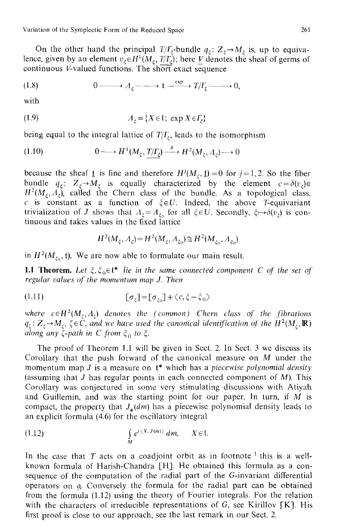Variation of the Symplectic Form of the Reduced Space 261

On the other hand the principal  $T/T_{\varepsilon}$ -bundle  $q_{\varepsilon}$ :  $Z_{\varepsilon} \rightarrow M_{\varepsilon}$  is, up to equivalence, given by an element  $v_{\xi} \in H^1(M_{\xi}, T/\overline{T_{\xi}})$ ; here V denotes the sheaf of germs of continuous V-valued functions. The short exact sequence

$$
(1.8) \t\t 0 \longrightarrow A_{\xi} \longrightarrow t \xrightarrow{\text{exp}} T/I_{\xi} \longrightarrow 0,
$$

with

$$
(1.9) \t\t A_{\xi} = \{X \in \mathfrak{t}; \exp X \in \varGamma_{\xi}\}\t\t A_{\xi} = \{X \in \mathfrak{t}; \exp X \in \varGamma_{\xi}\}\t\t B_{\xi} = \{X \in \mathfrak{t}; \exp X \in \varGamma_{\xi}\}\t\t B_{\xi} = \{X \in \mathfrak{t}; \exp X \in \varGamma_{\xi}\}\t\t B_{\xi} = \{X \in \mathfrak{t}; \exp X \in \varGamma_{\xi}\}\t\t B_{\xi} = \{X \in \mathfrak{t}; \exp X \in \varGamma_{\xi}\}\t\t B_{\xi} = \{X \in \mathfrak{t}; \exp X \in \varGamma_{\xi}\}\t\t B_{\xi} = \{X \in \mathfrak{t}; \exp X \in \varGamma_{\xi}\}
$$

being equal to the integral lattice of  $T/\Gamma_{\epsilon}$ , leads to the isomorphism

$$
(1.10) \t\t 0 \longrightarrow H^1(M_{\xi}, \underline{T/T_{\xi}}) \xrightarrow{\delta} H^2(M_{\xi}, A_{\xi}) \longrightarrow 0
$$

because the sheaf  $\underline{t}$  is fine and therefore  $H^j(M_\xi, \underline{t})=0$  for  $j=1,2$ . So the fiber bundle  $q_{\xi}$ :  $Z_{\xi} \rightarrow M_{\xi}$  is equally characterized by the element  $c = \delta(v_{\xi}) \in$  $H^2(M_\xi, A_\xi)$ , called the Chern class of the bundle. As a topological class, c is constant as a function of  $\xi \in U$ . Indeed, the above T-equivariant trivialization of *J* shows that  $A_{\xi} = A_{\xi_0}$  for all  $\xi \in U$ . Secondly,  $\xi \mapsto \delta(v_{\xi})$  is continuous and takes values in the fixed lattice

$$
H^{2}(M_{\xi}, A_{\xi}) = H^{2}(M_{\xi}, A_{\xi_{0}}) \cong H^{2}(M_{\xi_{0}}, A_{\xi_{0}})
$$

in  $H^2(M_{\xi_0}, t)$ . We are now able to formulate our main result.

**1.1 Theorem.** Let  $\xi, \xi_0 \in \mathfrak{t}^*$  *lie in the same connected component C of the set of regular values of the momentum map J. Then* 

$$
[\sigma_{\xi}] = [\sigma_{\xi_0}] + \langle c, \xi - \xi_0 \rangle
$$

where  $c \in H^2(M_\zeta, A_\zeta)$  denotes the (common) Chern class of the fibrations  $q_{\zeta}: Z_{\zeta} \to M_{\zeta}, \ \zeta \in \dot{C},$  and we have used the canonical identification of the  $H^2(M_{\zeta}, \mathbb{R})$ *along any*  $\zeta$ *-path in C from*  $\xi_0$  *to*  $\xi$ *.* 

The proof of Theorem 1.1 will be given in Sect. 2. In Sect. 3 we discuss its Corollary that the push forward of the canonical measure on M under the momentum map J is a measure on t\* which has a *piecewise polynomial density*  (assuming that J has regular points in each connected component of  $M$ ). This Corollary was conjectured in some very stimulating discussions with Atiyah and Guillemin, and was the starting point for our paper. In turn, if  $M$  is compact, the property that  $J_{*}(dm)$  has a piecewise polynomial density leads to an explicit formula (4.6) for the oscillatory integral

(1.12) 
$$
\int_{M} e^{i \langle X, J(m) \rangle} dm, \qquad X \in \mathfrak{t}.
$$

In the case that T acts on a coadjoint orbit as in footnote  $\frac{1}{1}$  this is a wellknown formula of Harish-Chandra [HI. He obtained this formula as a consequence of the computation of the radial part of the G-invariant differential operators on q. Conversely the formula for the radial part can be obtained from the formula (1.12) using the theory of Fourier integrals. For the relation with the characters of irreducible representations of  $G$ , see Kirillov [K]. His first proof is close to our approach, see the last remark in our Sect. 2.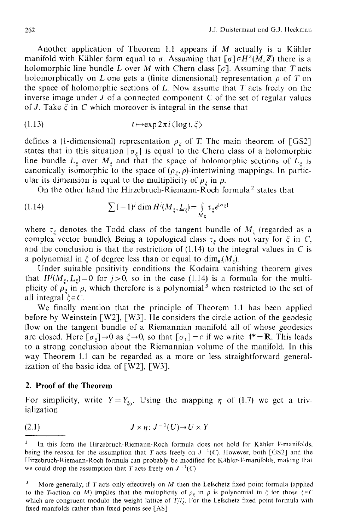Another application of Theorem 1.1 appears if  $M$  actually is a Kähler manifold with Kähler form equal to  $\sigma$ . Assuming that  $\lceil \sigma \rceil \in H^2(M, \mathbb{Z})$  there is a holomorphic line bundle L over M with Chern class  $\lceil \sigma \rceil$ . Assuming that T acts holomorphically on L one gets a (finite dimensional) representation  $\rho$  of T on the space of holomorphic sections of  $L$ . Now assume that  $T$  acts freely on the inverse image under  $J$  of a connected component  $C$  of the set of regular values of J. Take  $\xi$  in C which moreover is integral in the sense that

(1.13) 
$$
t \mapsto \exp 2\pi i \langle \log t, \xi \rangle
$$

defines a (1-dimensional) representation  $\rho_{\xi}$  of T. The main theorem of [GS2] states that in this situation  $[\sigma_{\xi}]$  is equal to the Chern class of a holomorphic line bundle  $L_{\xi}$  over  $M_{\xi}$  and that the space of holomorphic sections of  $L_{\xi}$  is canonically isomorphic to the space of  $(\rho_{\xi}, \rho)$ -intertwining mappings. In particular its dimension is equal to the multiplicity of  $\rho_{\zeta}$  in  $\rho$ .

On the other hand the Hirzebruch-Riemann-Roch formula<sup>2</sup> states that

(1.14) 
$$
\sum (-1)^j \dim H^j(M_\xi, \underline{L}_\xi) = \int_{M_\xi} \tau_\xi e^{[\sigma_\xi]}
$$

where  $\tau_{\xi}$  denotes the Todd class of the tangent bundle of  $M_{\xi}$  (regarded as a complex vector bundle). Being a topological class  $\tau_{\xi}$  does not vary for  $\xi$  in C, and the conclusion is that the restriction of  $(1.14)$  to the integral values in C is a polynomial in  $\xi$  of degree less than or equal to  $\dim_{\mathcal{C}}(M_*)$ .

Under suitable positivity conditions the Kodaira vanishing theorem gives that  $H^{j}(M_{\xi}, \underline{L}_{\xi}) = 0$  for  $j > 0$ , so in the case (1.14) is a formula for the multiplicity of  $\rho_{\xi}$  in  $\rho$ , which therefore is a polynomial<sup>3</sup> when restricted to the set of all integral  $\zeta \in C$ .

We finally mention that the principle of Theorem 1.1 has been applied before by Weinstein [W2], [W3]. He considers the circle action of the geodesic flow on the tangent bundle of a Riemannian manifold all of whose geodesics are closed. Here  $[\sigma_{\xi}] \rightarrow 0$  as  $\xi \rightarrow 0$ , so that  $[\sigma_1] = c$  if we write  $t^* = \mathbb{R}$ . This leads to a strong conclusion about the Riemannian volume of the manifold. In this way Theorem 1.1 can be regarded as a more or less straightforward generalization of the basic idea of [W2], [W3].

### **2. Proof of the Theorem**

For simplicity, write  $Y=Y_{\xi_0}$ . Using the mapping  $\eta$  of (1.7) we get a trivialization

$$
(2.1) \t\t\t J \times \eta: J^{-1}(U) \to U \times Y
$$

<sup>&</sup>lt;sup>2</sup> In this form the Hirzebruch-Riemann-Roch formula does not hold for Kähler V-manifolds, being the reason for the assumption that T acts freely on  $J^{-1}(C)$ . However, both [GS2] and the Hirzebruch-Riemann-Roch formula can probably be modified for Kähler-V-manifolds, making that we could drop the assumption that T acts freely on  $J^{-1}(C)$ 

More generally, if  $T$  acts only effectively on  $M$  then the Lefschetz fixed point formula (applied to the T-action on M) implies that the multiplicity of  $\rho_{\xi}$  in  $\rho$  is polynomial in  $\xi$  for those  $\xi \in C$ which are congruent modulo the weight lattice of  $T/\Gamma$ <sub>z</sub>. For the Lefschetz fixed point formula with fixed manifolds rather than fixed points see [AS]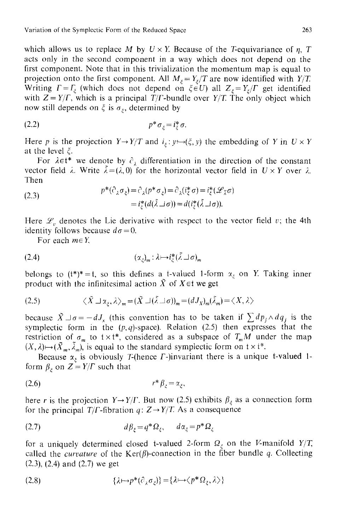which allows us to replace M by  $U \times Y$ . Because of the T-equivariance of  $\eta$ , T acts only in the second component in a way which does not depend on the first component. Note that in this trivialization the momentum map is equal to projection onto the first component. All  $M_{\varepsilon} = Y_{\varepsilon}/T$  are now identified with  $Y/T$ . Writing  $\Gamma = \Gamma$  (which does not depend on  $\xi \in U$ ) all  $Z_z = Y_z/\Gamma$  get identified with  $Z = Y/\Gamma$ , which is a principal  $T/\Gamma$ -bundle over  $Y/T$ . The only object which now still depends on  $\xi$  is  $\sigma_{\xi}$ , determined by

$$
(2.2) \t\t\t p^* \sigma_{\xi} = i_{\xi}^* \sigma.
$$

Here p is the projection  $Y \rightarrow Y/T$  and  $i_{\xi}: y \mapsto (\xi, y)$  the embedding of Y in  $U \times Y$ at the level  $\xi$ .

For  $\lambda \in \mathfrak{t}^*$  we denote by  $\hat{c}_i$  differentiation in the direction of the constant vector field  $\lambda$ . Write  $\tilde{\lambda}=(\lambda,0)$  for the horizontal vector field in  $U \times Y$  over  $\lambda$ . Then

(2.3) 
$$
p^*(\partial_{\lambda}\sigma_{\xi}) = \partial_{\lambda}(p^*\sigma_{\xi}) = \partial_{\lambda}(\mathbf{i}^*_{\xi}\sigma) = \mathbf{i}^*_{\xi}(\mathscr{L}_{\lambda}\sigma) = \mathbf{i}^*_{\xi}(d(\lambda \sqcup \sigma)) = d(\mathbf{i}^*_{\xi}(\lambda \sqcup \sigma)).
$$

Here  $\mathcal{L}_v$  denotes the Lie derivative with respect to the vector field v; the 4th identity follows because  $d\sigma=0$ .

For each  $m \in Y$ ,

(2.4) (~r : ).~--.i\*()7 ~ a),,

belongs to  $(t^*)^* = t$ , so this defines a t-valued 1-form  $\alpha_{\zeta}$  on Y. Taking inner product with the infinitesimal action  $\tilde{X}$  of  $X \in \mathfrak{t}$  we get

$$
(2.5) \qquad \qquad \langle \tilde{X} \sqcup \alpha_{\xi}, \lambda \rangle_{m} = (\tilde{X} \sqcup (\tilde{\lambda} \sqcup \sigma))_{m} = (dJ_{X})_{m}(\tilde{\lambda}_{m}) = \langle X, \lambda \rangle
$$

because  $\tilde{X} \Box \sigma = -dJ_x$  (this convention has to be taken if  $\sum dp_i \wedge dq_i$  is the symplectic form in the *(p,q)-space).* Relation (2.5) then expresses that the restriction of  $\sigma_m$  to  $t \times t^*$ , considered as a subspace of  $T_m M$  under the map  $(X, \lambda) \mapsto (\tilde{X}_m, \tilde{\lambda}_m)$ , is equal to the standard symplectic form on  $t \times t^*$ .

Because  $\alpha_{\xi}$  is obviously T-(hence  $\Gamma$ -)invariant there is a unique t-valued 1form  $\beta_{\varepsilon}$  on  $Z = Y/\Gamma$  such that

$$
(2.6) \t\t\t\t $r^* \beta_{\xi} = \alpha_{\xi},$
$$

here r is the projection  $Y \rightarrow Y/\Gamma$ . But now (2.5) exhibits  $\beta_{\xi}$  as a connection form for the principal *T*/*F*-fibration *q*:  $Z \rightarrow Y/T$ . As a consequence

$$
(2.7) \t\t d\beta_{\xi} = q^* \Omega_{\xi}, \t d\alpha_{\xi} = p^* \Omega_{\xi}
$$

for a uniquely determined closed t-valued 2-form  $\Omega_{\varepsilon}$  on the V-manifold *Y*/*T*, called the *curvature* of the  $Ker(\beta)$ -connection in the fiber bundle q. Collecting (2.3), (2.4) and (2.7) we get

$$
(2.8) \qquad \{ \lambda \mapsto p^*(\partial_{\lambda} \sigma_{\xi}) \} = \{ \lambda \mapsto \langle p^* \Omega_{\xi}, \lambda \rangle \}
$$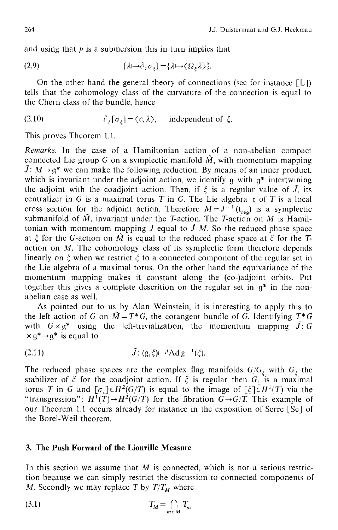and using that  $p$  is a submersion this in turn implies that

$$
(2.9) \qquad \{ \lambda \mapsto \partial_{\lambda} \sigma_{\xi} \} = \{ \lambda \mapsto \langle \Omega_{\xi} \lambda \rangle \}.
$$

On the other hand the general theory of connections (see for instance  $[L]$ ) tells that the cohomology class of the curvature of the connection is equal to the Chern class of the bundle, hence

(2.10) 
$$
\partial_{\lambda}[\sigma_{\xi}] = \langle c, \lambda \rangle, \text{ independent of } \xi.
$$

This proves Theorem 1.1.

*Remarks.* In the case of a Hamiltonian action of a non-abelian compact connected Lie group G on a symplectic manifold  $\tilde{M}$ , with momentum mapping  $\tilde{J}: M \rightarrow \mathfrak{q}^*$  we can make the following reduction. By means of an inner product, which is invariant under the adjoint action, we identify  $g$  with  $g^*$  intertwining the adjoint with the coadjoint action. Then, if  $\xi$  is a regular value of  $\tilde{J}$ , its centralizer in G is a maximal torus T in G. The Lie algebra  $t$  of T is a local cross section for the adjoint action. Therefore  $M = J^{-1}(t_{res})$  is a symplectic submanifold of  $\tilde{M}$ , invariant under the T-action. The T-action on M is Hamiltonian with momentum mapping *J* equal to  $\tilde{J}|M$ . So the reduced phase space at  $\zeta$  for the G-action on  $\tilde{M}$  is equal to the reduced phase space at  $\zeta$  for the Taction on M. The cohomology class of its symplectic form therefore depends linearly on  $\zeta$  when we restrict  $\zeta$  to a connected component of the regular set in the Lie algebra of a maximal torus. On the other hand the equivariance of the momentum mapping makes it constant along the (co-)adjoint orbits. Put together this gives a complete descrition on the regular set in  $g^*$  in the nonabelian case as well.

As pointed out to us by Alan Weinstein, it is interesting to apply this to the left action of G on  $\tilde{M} = T^* G$ , the cotangent bundle of G. Identifying  $T^* G$ with  $G \times g^*$  using the left-trivialization, the momentum mapping  $\hat{J}: G$  $\times$  q<sup>\*</sup>  $\rightarrow$ q<sup>\*</sup> is equal to

$$
\tilde{J}: (g,\xi) \mapsto {}^t \mathrm{Ad} \ g^{-1}(\xi).
$$

The reduced phase spaces are the complex flag manifolds  $G/G_{\varepsilon}$  with  $G_{\varepsilon}$  the stabilizer of  $\xi$  for the coadjoint action. If  $\xi$  is regular then  $G_{\xi}$  is a maximal torus T in G and  $\lbrack \sigma_z \rbrack \in H^2(G/T)$  is equal to the image of  $\lbrack \xi \rbrack \in H^1(T)$  via the "transgression":  $H^1(\overline{T}) \to H^2(G/T)$  for the fibration  $\overline{G} \to G/T$ . This example of our Theorem 1.1 occurs already for instance in the exposition of Serre [Se] of the Borel-Weil theorem.

# **3. The Push Forward of the Liouville Measure**

In this section we assume that  $M$  is connected, which is not a serious restriction because we can simply restrict the discussion to connected components of M. Secondly we may replace T by  $T/T_M$  where

$$
(3.1) \t\t T_M = \bigcap_{m \in M} T_m
$$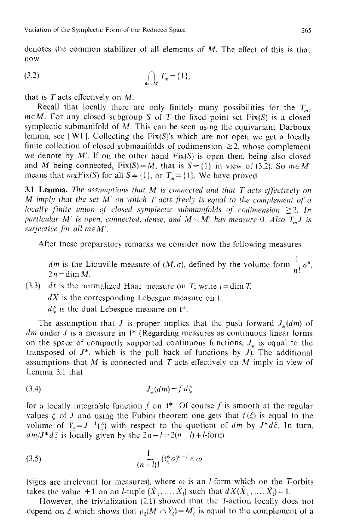denotes the common stabilizer of all elements of M. The effect of this is that now

(3.2) ~ T m={l}, rn~M

that is  $T$  acts effectively on  $M$ .

Recall that locally there are only finitely many possibilities for the  $T_m$ ,  $m \in M$ . For any closed subgroup S of T the fixed point set Fix(S) is a closed symplectic submanifold of M. This can be seen using the equivariant Darboux lemma, see [W1]. Collecting the  $Fix(S)$ 's which are not open we get a locally finite collection of closed submanifolds of codimension  $\geq 2$ , whose complement we denote by M'. If on the other hand  $Fix(S)$  is open then, being also closed and M being connected,  $Fix(S) = M$ , that is  $S = \{1\}$  in view of (3.2). So  $m \in M'$ means that  $m \notin Fix(S)$  for all  $S = \{1\}$ , or  $T_m = \{1\}$ . We have proved

3.1 Lemma. *The assumptions that M is connected and that T acts effectively on M* imply that the set *M'* on which *T* acts freely is equal to the complement of a *locally finite union of closed symplectic submanifolds of codimension*  $\geq 2$ *. In particular M' is open, connected, dense, and*  $M \setminus M'$  *has measure O. Also*  $T_m J$  *is surjective for all m* $\in$ *M'.* 

After these preparatory remarks we consider now the following measures

*dm* is the Liouville measure of  $(M, \sigma)$ , defined by the volume form  $\frac{1}{M} \sigma^n$ ,  $2n = \dim M$ .

(3.3) *dt* is the normalized Haar measure on T; write  $l = \dim T$ .

*dX* is the corresponding Lebesgue measure on t.

 $d\xi$  is the dual Lebesgue measure on  $t^*$ .

The assumption that *J* is proper implies that the push forward  $J_{\ast}(dm)$  of *dm* under *J* is a measure in  $t^*$  (Regarding measures as continuous linear forms on the space of compactly supported continuous functions,  $J_*$  is equal to the transposed of  $J^*$ , which is the pull back of functions by  $J$ ). The additional assumptions that  $M$  is connected and  $T$  acts effectively on  $M$  imply in view of Lemma 3.1 that

$$
(3.4) \t\t J_* (dm) = f d \xi
$$

for a locally integrable function  $f$  on  $t^*$ . Of course  $f$  is smooth at the regular values  $\xi$  of J and using the Fubini theorem one gets that  $f(\xi)$  is equal to the volume of  $Y_{\xi} = J^{-1}(\xi)$  with respect to the quotient of *dm* by  $J^*d\xi$ . In turn,  $dm/J^*d\zeta$  is locally given by the  $2n-l=2(n-l)+l$ -form

(3.5) 
$$
\frac{1}{(n-1)!} (i_{\xi}^* \sigma)^{n-1} \wedge \omega
$$

(signs are irrelevant for measures), where  $\omega$  is an *l*-form which on the T-orbits takes the value  $\pm 1$  on an *l*-tuple  $(\tilde{X}_1, ..., \tilde{X}_l)$  such that  $dX(\tilde{X}_1, ..., \tilde{X}_l) = 1$ .

However, the trivialization (2.1) showed that the T-action locally does not depend on  $\xi$  which shows that  $p_{\xi}(M' \cap Y_{\xi}) = M'_{\xi}$  is equal to the complement of a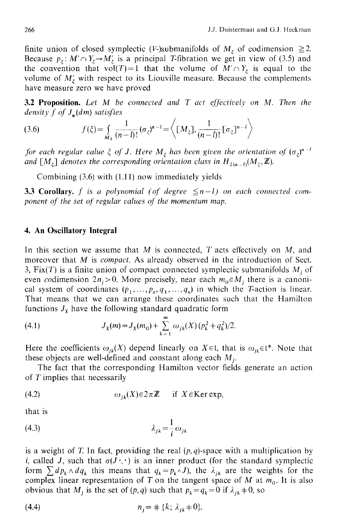finite union of closed symplectic (V-)submanifolds of  $M_{\zeta}$  of codimension  $\geq 2$ . Because  $p_{\xi}: M' \cap Y_{\xi} \to M'_{\xi}$  is a principal T-fibration we get in view of (3.5) and the convention that vol(T)=1 that the volume of  $M' \cap Y_{\xi}$  is equal to the volume of  $M'_{\xi}$  with respect to its Liouville measure. Because the complements have measure zero we have proved

3.2 Proposition. *Let M be connected and T act effectively on M. Then the density f of J,(dm) satisfies* 

(3.6) 
$$
f(\xi) = \int_{M_{\xi}} \frac{1}{(n-l)!} (\sigma_{\xi})^{n-l} = \left\langle [M_{\xi}], \frac{1}{(n-l)!} [\sigma_{\xi}]^{n-l} \right\rangle
$$

*for each regular value*  $\zeta$  *of J. Here M<sub>* $\zeta$ *</sub> has been given the orientation of*  $(\sigma_{\zeta})^{n-1}$ *and* [ $M_z$ ] *denotes the corresponding orientation class in*  $H_{2(n-1)}(M_z, \mathbb{Z})$ .

Combining (3.6) with (1.11) now immediately yields

**3.3 Corollary.** *f* is a polynomial (of degree  $\leq n-l$ ) on each connected com*ponent of the set of regular values of the momentum map.* 

## **4. An Oscillatory Integral**

In this section we assume that  $M$  is connected,  $T$  acts effectively on  $M$ , and moreover that M is *compact.* As already observed in the introduction of Sect. 3, Fix(T) is a finite union of compact connected symplectic submanifolds  $M_i$  of even codimension  $2n_i>0$ . More precisely, near each  $m_0 \in M_j$  there is a canonical system of coordinates  $(p_1, ..., p_n, q_1, ..., q_n)$  in which the T-action is linear. That means that we can arrange these coordinates such that the Hamilton functions  $J_x$  have the following standard quadratic form

(4.1) 
$$
J_X(m) = J_X(m_0) + \sum_{k=1}^m \omega_{jk}(X) (p_k^2 + q_k^2)/2.
$$

Here the coefficients  $\omega_{ik}(X)$  depend linearly on  $X \in \mathfrak{t}$ , that is  $\omega_{jk} \in \mathfrak{t}^*$ . Note that these objects are well-defined and constant along each  $M_i$ .

The fact that the corresponding Hamilton vector fields generate an action of T implies that necessarily

$$
\omega_{ik}(X) \in 2\pi \mathbb{Z} \quad \text{if } X \in \text{Ker} \exp,
$$

that is

$$
\lambda_{jk} = \frac{1}{i} \omega_{jk}
$$

is a weight of T. In fact, providing the real  $(p, q)$ -space with a multiplication by i, called J, such that  $\sigma(J\cdot, \cdot)$  is an inner product (for the standard symplectic form  $\sum dp_k \wedge dq_k$  this means that  $q_k = p_k \circ J$ , the  $\lambda_{jk}$  are the weights for the complex linear representation of T on the tangent space of M at  $m_0$ . It is also obvious that  $M_i$  is the set of  $(p, q)$  such that  $p_k = q_k = 0$  if  $\lambda_{jk} \neq 0$ , so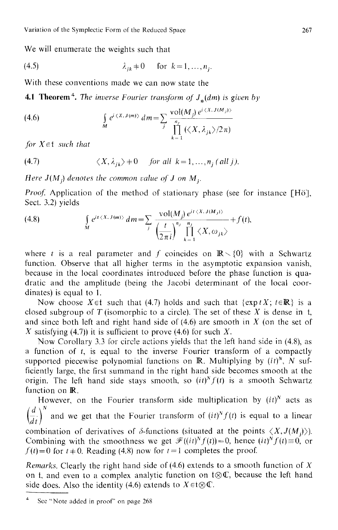We will enumerate the weights such that

$$
\lambda_{jk} \neq 0 \quad \text{for } k = 1, \dots, n_j.
$$

With these conventions made we can now state the

**4.1 Theorem<sup>4</sup>.** *The inverse Fourier transform of*  $J_{\star}(dm)$  *is given by* 

(4.6) 
$$
\int_{M} e^{i \langle X, J(m) \rangle} dm = \sum_{j} \frac{\text{vol}(M_{j}) e^{i \langle X, J(M_{j}) \rangle}}{\prod_{k=1}^{n_{j}} (\langle X, \lambda_{jk} \rangle / 2\pi)}
$$

*for*  $X \in \mathfrak{t}$  *such that* 

(4.7) 
$$
\langle X, \lambda_{jk} \rangle \neq 0
$$
 for all  $k = 1, ..., n_j$  (all j).

*Here*  $J(M_i)$  *denotes the common value of J on M<sub>i</sub>.* 

*Proof.* Application of the method of stationary phase (see for instance [Hö], Sect. 3.2) yields a na sala s

(4.8) 
$$
\int_{M} e^{it \langle X, J(m) \rangle} dm = \sum_{j} \frac{\text{vol}(M_{j}) e^{it \langle X, J(M_{j}) \rangle}}{\left(\frac{t}{2\pi i}\right)^{n_{j}} \prod_{k=1}^{n_{j}} \langle X, \omega_{jk} \rangle} + f(t),
$$

where t is a real parameter and f coincides on  $\mathbb{R}\setminus\{0\}$  with a Schwartz function. Observe that all higher terms in the asymptotic expansion vanish, because in the local coordinates introduced before the phase function is quadratic and the amplitude (being the Jacobi determinant of the local coordinates) is equal to 1.

Now choose  $X \in \mathfrak{t}$  such that (4.7) holds and such that {exptX; t=R} is a closed subgroup of T (isomorphic to a circle). The set of these  $X$  is dense in t, and since both left and right hand side of  $(4.6)$  are smooth in X (on the set of X satisfying (4.7)) it is sufficient to prove (4.6) for such X.

Now Corollary 3.3 for circle actions yields that the left hand side in (4.8), as a function of  $t$ , is equal to the inverse Fourier transform of a compactly supported piecewise polynomial functions on  $\mathbb{R}$ . Multiplying by  $(it)^{N}$ ,  $N$  sufficiently large, the first summand in the right hand side becomes smooth at the origin. The left hand side stays smooth, so  $(it)^N f(t)$  is a smooth Schwartz function on **R**.

However, on the Fourier transform side multiplication by  $(it)^N$  acts as (d) $N$  $\overline{d}$  and we get that the Fourier transform of  $(it)^{s}f(t)$  is equal to a linear combination of derivatives of  $\delta$ -functions (situated at the points  $\langle X, J(M) \rangle$ ). Combining with the smoothness we get  $\mathcal{F}((it)^N f(t)) = 0$ , hence  $(it)^N f(t) = 0$ , or  $f(t)=0$  for  $t\neq 0$ . Reading (4.8) now for  $t=1$  completes the proof.

*Remarks.* Clearly the right hand side of (4.6) extends to a smooth function of X on t, and even to a complex analytic function on  $t \otimes \mathbb{C}$ , because the left hand side does. Also the identity (4.6) extends to  $X \in \mathfrak{t} \otimes \mathbb{C}$ .

<sup>4</sup> See "Note added in proof" on page 268